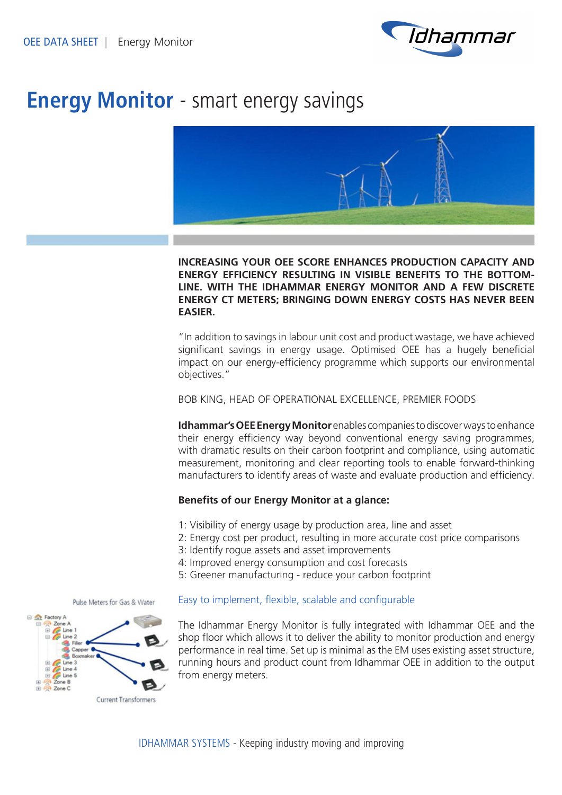

# **Energy Monitor** - smart energy savings



# **INCREASING YOUR OEE SCORE ENHANCES PRODUCTION CAPACITY AND ENERGY EFFICIENCY RESULTING IN VISIBLE BENEFITS TO THE BOTTOM-LINE. WITH THE IDHAMMAR ENERGY MONITOR AND A FEW DISCRETE ENERGY CT METERS; BRINGING DOWN ENERGY COSTS HAS NEVER BEEN EASIER.**

"In addition to savings in labour unit cost and product wastage, we have achieved significant savings in energy usage. Optimised OEE has a hugely beneficial impact on our energy-efficiency programme which supports our environmental objectives."

BOB KING, HEAD OF OPERATIONAL EXCELLENCE, PREMIER FOODS

**Idhammar's OEE Energy Monitor** enables companies to discover ways to enhance their energy efficiency way beyond conventional energy saving programmes, with dramatic results on their carbon footprint and compliance, using automatic measurement, monitoring and clear reporting tools to enable forward-thinking manufacturers to identify areas of waste and evaluate production and efficiency.

# **Benefits of our Energy Monitor at a glance:**

- 1: Visibility of energy usage by production area, line and asset
- 2: Energy cost per product, resulting in more accurate cost price comparisons
- 3: Identify rogue assets and asset improvements
- 4: Improved energy consumption and cost forecasts
- 5: Greener manufacturing reduce your carbon footprint

### Easy to implement, flexible, scalable and configurable

The Idhammar Energy Monitor is fully integrated with Idhammar OEE and the shop floor which allows it to deliver the ability to monitor production and energy performance in real time. Set up is minimal as the EM uses existing asset structure, running hours and product count from Idhammar OEE in addition to the output from energy meters.